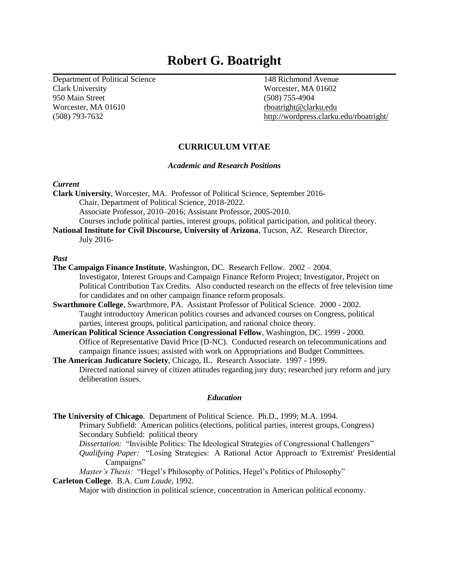# **Robert G. Boatright \_\_\_\_\_\_\_\_\_\_\_\_\_\_\_\_\_\_\_\_\_\_\_\_\_\_\_\_\_\_\_\_\_\_\_\_\_\_\_\_\_\_\_\_\_\_\_\_\_\_\_\_\_\_\_\_\_\_\_\_\_\_\_\_\_\_\_\_\_\_\_\_\_\_\_\_\_\_\_\_\_\_\_\_\_\_\_\_\_\_\_\_\_\_\_\_\_\_\_\_\_\_\_\_\_\_\_\_\_\_\_\_\_\_\_\_\_**

Department of Political Science 148 Richmond Avenue Clark University Worcester, MA 01602 950 Main Street (508) 755-4904 Worcester, MA 01610 [rboatright@clarku.edu](mailto:rboatright@clarku.edu)

(508) 793-7632 [http://wordpress.clarku.edu/rboatright/](https://exchange.clarku.edu/owa/redir.aspx?C=QBCmljhqfUKCVqVpaBM6aBLZQ28a2tEIUcWypTvCIvkSzB3VOj8Ov3s-U5ewFtRyiA0mMHZgqSE.&URL=http%3a%2f%2fwordpress.clarku.edu%2frboatright%2f)

# **CURRICULUM VITAE**

# *Academic and Research Positions*

# *Current*

**Clark University**, Worcester, MA. Professor of Political Science, September 2016- Chair, Department of Political Science, 2018-2022. Associate Professor, 2010–2016; Assistant Professor, 2005-2010. Courses include political parties, interest groups, political participation, and political theory.

**National Institute for Civil Discourse, University of Arizona**, Tucson, AZ.Research Director, July 2016-

# *Past*

- **The Campaign Finance Institute**, Washington, DC. Research Fellow. 2002 2004. Investigator, Interest Groups and Campaign Finance Reform Project; Investigator, Project on Political Contribution Tax Credits. Also conducted research on the effects of free television time for candidates and on other campaign finance reform proposals.
- **Swarthmore College**, Swarthmore, PA. Assistant Professor of Political Science. 2000 2002. Taught introductory American politics courses and advanced courses on Congress, political parties, interest groups, political participation, and rational choice theory.
- **American Political Science Association Congressional Fellow**, Washington, DC. 1999 2000. Office of Representative David Price (D-NC). Conducted research on telecommunications and campaign finance issues; assisted with work on Appropriations and Budget Committees.
- **The American Judicature Society**, Chicago, IL. Research Associate. 1997 1999. Directed national survey of citizen attitudes regarding jury duty; researched jury reform and jury deliberation issues.

# *Education*

**The University of Chicago**. Department of Political Science. Ph.D., 1999; M.A. 1994. Primary Subfield: American politics (elections, political parties, interest groups, Congress) Secondary Subfield: political theory *Dissertation:* "Invisible Politics: The Ideological Strategies of Congressional Challengers" *Qualifying Paper:* "Losing Strategies: A Rational Actor Approach to 'Extremist' Presidential Campaigns"

*Master's Thesis:* "Hegel's Philosophy of Politics, Hegel's Politics of Philosophy"

# **Carleton College**. B.A. *Cum Laude*, 1992.

Major with distinction in political science, concentration in American political economy.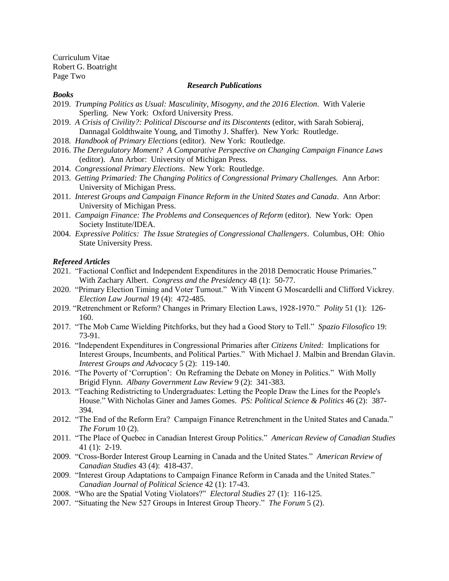Curriculum Vitae Robert G. Boatright Page Two

## *Research Publications*

#### *Books*

- 2019. *Trumping Politics as Usual: Masculinity, Misogyny, and the 2016 Election*. With Valerie Sperling. New York: Oxford University Press.
- 2019. *A Crisis of Civility?: Political Discourse and its Discontents* (editor, with Sarah Sobieraj, Dannagal Goldthwaite Young, and Timothy J. Shaffer). New York: Routledge.
- 2018. *Handbook of Primary Elections* (editor). New York: Routledge.
- 2016. *The Deregulatory Moment? A Comparative Perspective on Changing Campaign Finance Laws* (editor). Ann Arbor: University of Michigan Press.
- 2014. *Congressional Primary Elections*. New York: Routledge.
- 2013. *Getting Primaried: The Changing Politics of Congressional Primary Challenges.* Ann Arbor: University of Michigan Press.
- 2011. *Interest Groups and Campaign Finance Reform in the United States and Canada*. Ann Arbor: University of Michigan Press.
- 2011. *Campaign Finance: The Problems and Consequences of Reform* (editor). New York: Open Society Institute/IDEA.
- 2004. *Expressive Politics: The Issue Strategies of Congressional Challengers*. Columbus, OH: Ohio State University Press.

## *Refereed Articles*

- 2021. "Factional Conflict and Independent Expenditures in the 2018 Democratic House Primaries." With Zachary Albert. *Congress and the Presidency* 48 (1): 50-77.
- 2020. "Primary Election Timing and Voter Turnout." With Vincent G Moscardelli and Clifford Vickrey. *Election Law Journal* 19 (4): 472-485.
- 2019. "Retrenchment or Reform? Changes in Primary Election Laws, 1928-1970." *Polity* 51 (1): 126- 160.
- 2017. "The Mob Came Wielding Pitchforks, but they had a Good Story to Tell." *Spazio Filosofico* 19: 73-91.
- 2016. "Independent Expenditures in Congressional Primaries after *Citizens United:* Implications for Interest Groups, Incumbents, and Political Parties." With Michael J. Malbin and Brendan Glavin. *Interest Groups and Advocacy* 5 (2): 119-140.
- 2016. "The Poverty of 'Corruption': On Reframing the Debate on Money in Politics." With Molly Brigid Flynn. *Albany Government Law Review* 9 (2): 341-383.
- 2013. "Teaching Redistricting to Undergraduates: Letting the People Draw the Lines for the People's House." With Nicholas Giner and James Gomes. *PS: Political Science & Politics* 46 (2): 387- 394.
- 2012. "The End of the Reform Era? Campaign Finance Retrenchment in the United States and Canada." *The Forum* 10 (2).
- 2011. "The Place of Quebec in Canadian Interest Group Politics." *American Review of Canadian Studies*  41 (1): 2-19.
- 2009. "Cross-Border Interest Group Learning in Canada and the United States." *American Review of Canadian Studies* 43 (4): 418-437.
- 2009. "Interest Group Adaptations to Campaign Finance Reform in Canada and the United States." *Canadian Journal of Political Science* 42 (1): 17-43.
- 2008. "Who are the Spatial Voting Violators?" *Electoral Studies* 27 (1): 116-125.
- 2007. "Situating the New 527 Groups in Interest Group Theory." *The Forum* 5 (2).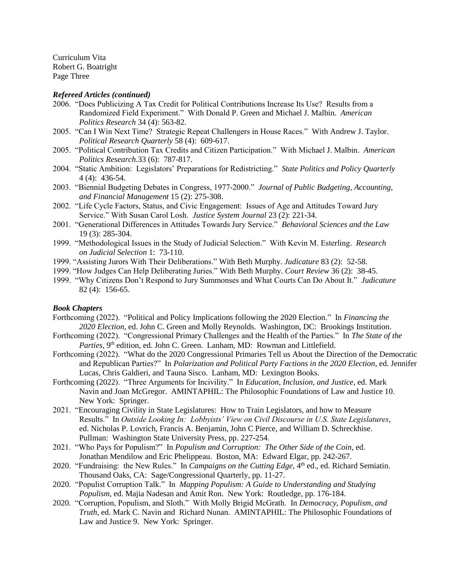Curriculum Vita Robert G. Boatright Page Three

#### *Refereed Articles (continued)*

- 2006. "Does Publicizing A Tax Credit for Political Contributions Increase Its Use? Results from a Randomized Field Experiment." With Donald P. Green and Michael J. Malbin. *American Politics Research* 34 (4): 563-82.
- 2005. "Can I Win Next Time? Strategic Repeat Challengers in House Races." With Andrew J. Taylor. *Political Research Quarterly* 58 (4): 609-617.
- 2005. "Political Contribution Tax Credits and Citizen Participation." With Michael J. Malbin. *American Politics Research.*33 (6): 787-817.
- 2004. "Static Ambition: Legislators' Preparations for Redistricting." *State Politics and Policy Quarterly*  4 (4): 436-54.
- 2003. "Biennial Budgeting Debates in Congress, 1977-2000." *Journal of Public Budgeting, Accounting, and Financial Management* 15 (2): 275-308.
- 2002. "Life Cycle Factors, Status, and Civic Engagement: Issues of Age and Attitudes Toward Jury Service." With Susan Carol Losh. *Justice System Journal* 23 (2): 221-34.
- 2001. "Generational Differences in Attitudes Towards Jury Service." *Behavioral Sciences and the Law* 19 (3): 285-304.
- 1999. "Methodological Issues in the Study of Judicial Selection." With Kevin M. Esterling. *Research on Judicial Selection* 1: 73-110.
- 1999. "Assisting Jurors With Their Deliberations." With Beth Murphy. *Judicature* 83 (2): 52-58.
- 1999. "How Judges Can Help Deliberating Juries." With Beth Murphy. *Court Review* 36 (2): 38-45.
- 1999. "Why Citizens Don't Respond to Jury Summonses and What Courts Can Do About It." *Judicature* 82 (4): 156-65.

# *Book Chapters*

- Forthcoming (2022). "Political and Policy Implications following the 2020 Election." In *Financing the 2020 Election*, ed. John C. Green and Molly Reynolds. Washington, DC: Brookings Institution.
- Forthcoming (2022). "Congressional Primary Challenges and the Health of the Parties." In *The State of the*  Parties, 9<sup>th</sup> edition, ed. John C. Green. Lanham, MD: Rowman and Littlefield.
- Forthcoming (2022). "What do the 2020 Congressional Primaries Tell us About the Direction of the Democratic and Republican Parties?" In *Polarization and Political Party Factions in the 2020 Election*, ed. Jennifer Lucas, Chris Galdieri, and Tauna Sisco. Lanham, MD: Lexington Books.
- Forthcoming (2022). "Three Arguments for Incivility." In *Education, Inclusion, and Justice*, ed. Mark Navin and Joan McGregor. AMINTAPHIL: The Philosophic Foundations of Law and Justice 10. New York: Springer.
- 2021. "Encouraging Civility in State Legislatures: How to Train Legislators, and how to Measure Results." In *Outside Looking In: Lobbyists' View on Civil Discourse in U.S. State Legislatures*, ed. Nicholas P. Lovrich, Francis A. Benjamin, John C Pierce, and William D. Schreckhise. Pullman: Washington State University Press, pp. 227-254.
- 2021. "Who Pays for Populism?" In *Populism and Corruption: The Other Side of the Coin,* ed. Jonathan Mendilow and Eric Phelippeau. Boston, MA: Edward Elgar, pp. 242-267.
- 2020. "Fundraising: the New Rules." In *Campaigns on the Cutting Edge*, 4<sup>th</sup> ed., ed. Richard Semiatin. Thousand Oaks, CA: Sage/Congressional Quarterly, pp. 11-27.
- 2020. "Populist Corruption Talk." In *Mapping Populism: A Guide to Understanding and Studying Populism*, ed. Majia Nadesan and Amit Ron. New York: Routledge, pp. 176-184.
- 2020. "Corruption, Populism, and Sloth." With Molly Brigid McGrath. In *Democracy, Populism, and Truth,* ed. Mark C. Navin and Richard Nunan. AMINTAPHIL: The Philosophic Foundations of Law and Justice 9. New York: Springer.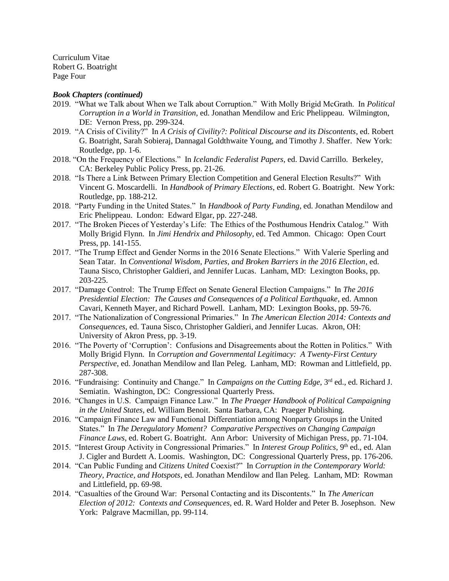Curriculum Vitae Robert G. Boatright Page Four

#### *Book Chapters (continued)*

- 2019. "What we Talk about When we Talk about Corruption." With Molly Brigid McGrath. In *Political Corruption in a World in Transition*, ed. Jonathan Mendilow and Eric Phelippeau. Wilmington, DE: Vernon Press, pp. 299-324.
- 2019. "A Crisis of Civility?" In *A Crisis of Civility?: Political Discourse and its Discontents*, ed. Robert G. Boatright, Sarah Sobieraj, Dannagal Goldthwaite Young, and Timothy J. Shaffer. New York: Routledge, pp. 1-6.
- 2018. "On the Frequency of Elections." In *Icelandic Federalist Papers*, ed. David Carrillo. Berkeley, CA: Berkeley Public Policy Press, pp. 21-26.
- 2018. "Is There a Link Between Primary Election Competition and General Election Results?" With Vincent G. Moscardelli. In *Handbook of Primary Elections*, ed. Robert G. Boatright. New York: Routledge, pp. 188-212.
- 2018. "Party Funding in the United States." In *Handbook of Party Funding*, ed. Jonathan Mendilow and Eric Phelippeau. London: Edward Elgar, pp. 227-248.
- 2017. "The Broken Pieces of Yesterday's Life: The Ethics of the Posthumous Hendrix Catalog." With Molly Brigid Flynn. In *Jimi Hendrix and Philosophy*, ed. Ted Ammon. Chicago: Open Court Press, pp. 141-155.
- 2017. "The Trump Effect and Gender Norms in the 2016 Senate Elections." With Valerie Sperling and Sean Tatar. In *Conventional Wisdom, Parties, and Broken Barriers in the 2016 Election*, ed. Tauna Sisco, Christopher Galdieri, and Jennifer Lucas. Lanham, MD: Lexington Books, pp. 203-225.
- 2017. "Damage Control: The Trump Effect on Senate General Election Campaigns." In *The 2016 Presidential Election: The Causes and Consequences of a Political Earthquake*, ed. Amnon Cavari, Kenneth Mayer, and Richard Powell. Lanham, MD: Lexington Books, pp. 59-76.
- 2017. "The Nationalization of Congressional Primaries." In *The American Election 2014: Contexts and Consequences*, ed. Tauna Sisco, Christopher Galdieri, and Jennifer Lucas. Akron, OH: University of Akron Press, pp. 3-19.
- 2016. "The Poverty of 'Corruption': Confusions and Disagreements about the Rotten in Politics." With Molly Brigid Flynn. In *Corruption and Governmental Legitimacy: A Twenty-First Century Perspective*, ed. Jonathan Mendilow and Ilan Peleg. Lanham, MD: Rowman and Littlefield, pp. 287-308.
- 2016. "Fundraising: Continuity and Change." In *Campaigns on the Cutting Edge*, 3rd ed., ed. Richard J. Semiatin. Washington, DC: Congressional Quarterly Press.
- 2016. "Changes in U.S. Campaign Finance Law." In *The Praeger Handbook of Political Campaigning in the United States*, ed. William Benoit. Santa Barbara, CA: Praeger Publishing.
- 2016. "Campaign Finance Law and Functional Differentiation among Nonparty Groups in the United States." In *The Deregulatory Moment? Comparative Perspectives on Changing Campaign Finance Laws*, ed. Robert G. Boatright. Ann Arbor: University of Michigan Press, pp. 71-104.
- 2015. "Interest Group Activity in Congressional Primaries." In *Interest Group Politics*, 9<sup>th</sup> ed., ed. Alan J. Cigler and Burdett A. Loomis. Washington, DC: Congressional Quarterly Press, pp. 176-206.
- 2014. "Can Public Funding and *Citizens United* Coexist?" In *Corruption in the Contemporary World: Theory, Practice, and Hotspots*, ed. Jonathan Mendilow and Ilan Peleg. Lanham, MD: Rowman and Littlefield, pp. 69-98.
- 2014. "Casualties of the Ground War: Personal Contacting and its Discontents." In *The American Election of 2012: Contexts and Consequences*, ed. R. Ward Holder and Peter B. Josephson. New York: Palgrave Macmillan, pp. 99-114.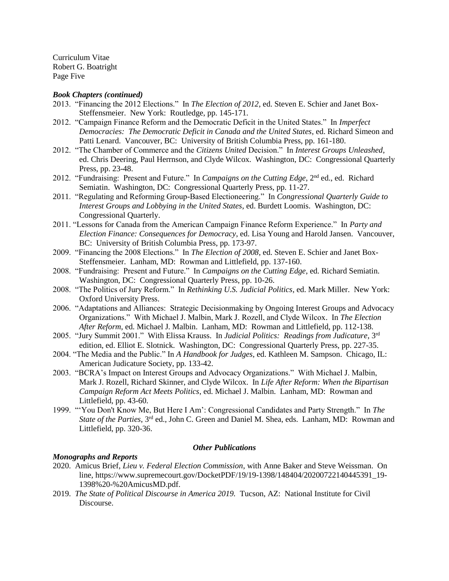Curriculum Vitae Robert G. Boatright Page Five

## *Book Chapters (continued)*

- 2013. "Financing the 2012 Elections." In *The Election of 2012*, ed. Steven E. Schier and Janet Box-Steffensmeier. New York: Routledge, pp. 145-171.
- 2012. "Campaign Finance Reform and the Democratic Deficit in the United States." In *Imperfect Democracies: The Democratic Deficit in Canada and the United States*, ed. Richard Simeon and Patti Lenard. Vancouver, BC: University of British Columbia Press, pp. 161-180.
- 2012. "The Chamber of Commerce and the *Citizens United* Decision." In *Interest Groups Unleashed*, ed. Chris Deering, Paul Herrnson, and Clyde Wilcox. Washington, DC: Congressional Quarterly Press, pp. 23-48.
- 2012. "Fundraising: Present and Future." In *Campaigns on the Cutting Edge*, 2<sup>nd</sup> ed., ed. Richard Semiatin. Washington, DC: Congressional Quarterly Press, pp. 11-27.
- 2011. "Regulating and Reforming Group-Based Electioneering." In *Congressional Quarterly Guide to Interest Groups and Lobbying in the United States*, ed. Burdett Loomis. Washington, DC: Congressional Quarterly.
- 2011. "Lessons for Canada from the American Campaign Finance Reform Experience." In *Party and Election Finance: Consequences for Democracy*, ed. Lisa Young and Harold Jansen. Vancouver, BC: University of British Columbia Press, pp. 173-97.
- 2009. "Financing the 2008 Elections." In *The Election of 2008*, ed. Steven E. Schier and Janet Box-Steffensmeier. Lanham, MD: Rowman and Littlefield, pp. 137-160.
- 2008. "Fundraising: Present and Future." In *Campaigns on the Cutting Edge*, ed. Richard Semiatin. Washington, DC: Congressional Quarterly Press, pp. 10-26.
- 2008. "The Politics of Jury Reform." In *Rethinking U.S. Judicial Politics*, ed. Mark Miller. New York: Oxford University Press.
- 2006. "Adaptations and Alliances: Strategic Decisionmaking by Ongoing Interest Groups and Advocacy Organizations." With Michael J. Malbin, Mark J. Rozell, and Clyde Wilcox. In *The Election After Reform*, ed. Michael J. Malbin. Lanham, MD: Rowman and Littlefield, pp. 112-138.
- 2005. "Jury Summit 2001." With Elissa Krauss. In *Judicial Politics: Readings from Judicature*, 3rd edition, ed. Elliot E. Slotnick. Washington, DC: Congressional Quarterly Press, pp. 227-35.
- 2004. "The Media and the Public." In *A Handbook for Judges*, ed. Kathleen M. Sampson. Chicago, IL: American Judicature Society, pp. 133-42.
- 2003. "BCRA's Impact on Interest Groups and Advocacy Organizations." With Michael J. Malbin, Mark J. Rozell, Richard Skinner, and Clyde Wilcox. In *Life After Reform: When the Bipartisan Campaign Reform Act Meets Politics*, ed. Michael J. Malbin. Lanham, MD: Rowman and Littlefield, pp. 43-60.
- 1999. "'You Don't Know Me, But Here I Am': Congressional Candidates and Party Strength." In *The State of the Parties*, 3rd ed., John C. Green and Daniel M. Shea, eds. Lanham, MD: Rowman and Littlefield, pp. 320-36.

# *Other Publications*

# *Monographs and Reports*

- 2020. Amicus Brief, *Lieu v. Federal Election Commission*, with Anne Baker and Steve Weissman. On line, https://www.supremecourt.gov/DocketPDF/19/19-1398/148404/20200722140445391\_19- 1398%20-%20AmicusMD.pdf.
- 2019. *The State of Political Discourse in America 2019.* Tucson, AZ: National Institute for Civil Discourse.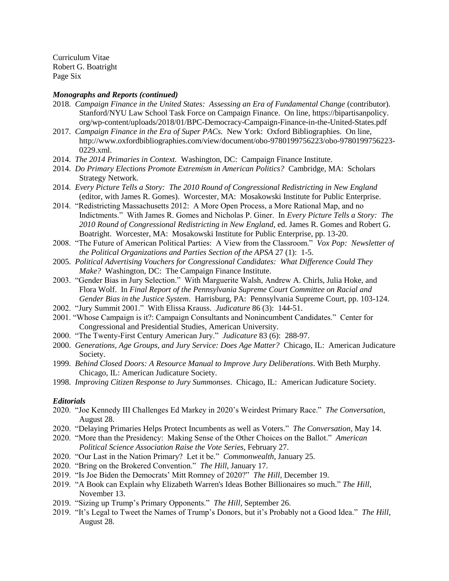Curriculum Vitae Robert G. Boatright Page Six

#### *Monographs and Reports (continued)*

- 2018. *Campaign Finance in the United States: Assessing an Era of Fundamental Change* (contributor). Stanford/NYU Law School Task Force on Campaign Finance. On line, [https://bipartisanpolicy.](https://bipartisanpolicy/) org/wp-content/uploads/2018/01/BPC-Democracy-Campaign-Finance-in-the-United-States.pdf
- 2017. *Campaign Finance in the Era of Super PACs.* New York: Oxford Bibliographies. On line, http://www.oxfordbibliographies.com/view/document/obo-9780199756223/obo-9780199756223- 0229.xml.
- 2014. *The 2014 Primaries in Context.* Washington, DC: Campaign Finance Institute.
- 2014. *Do Primary Elections Promote Extremism in American Politics?* Cambridge, MA: Scholars Strategy Network.
- 2014. *Every Picture Tells a Story: The 2010 Round of Congressional Redistricting in New England* (editor, with James R. Gomes). Worcester, MA: Mosakowski Institute for Public Enterprise.
- 2014. "Redistricting Massachusetts 2012: A More Open Process, a More Rational Map, and no Indictments." With James R. Gomes and Nicholas P. Giner. In *Every Picture Tells a Story: The 2010 Round of Congressional Redistricting in New England*, ed. James R. Gomes and Robert G. Boatright. Worcester, MA: Mosakowski Institute for Public Enterprise, pp. 13-20.
- 2008. "The Future of American Political Parties: A View from the Classroom." *Vox Pop: Newsletter of the Political Organizations and Parties Section of the APSA* 27 (1): 1-5.
- 2005. *Political Advertising Vouchers for Congressional Candidates: What Difference Could They Make?* Washington, DC: The Campaign Finance Institute.
- 2003. "Gender Bias in Jury Selection." With Marguerite Walsh, Andrew A. Chirls, Julia Hoke, and Flora Wolf. In *Final Report of the Pennsylvania Supreme Court Committee on Racial and Gender Bias in the Justice System*. Harrisburg, PA: Pennsylvania Supreme Court, pp. 103-124.
- 2002. "Jury Summit 2001." With Elissa Krauss. *Judicature* 86 (3): 144-51.
- 2001. "Whose Campaign is it?: Campaign Consultants and Nonincumbent Candidates." Center for Congressional and Presidential Studies, American University.
- 2000. "The Twenty-First Century American Jury." *Judicature* 83 (6): 288-97.
- 2000. *Generations, Age Groups, and Jury Service: Does Age Matter?* Chicago, IL: American Judicature Society.
- 1999. *Behind Closed Doors: A Resource Manual to Improve Jury Deliberations*. With Beth Murphy. Chicago, IL: American Judicature Society.
- 1998. *Improving Citizen Response to Jury Summonses*. Chicago, IL: American Judicature Society.

# *Editorials*

- 2020. "Joe Kennedy III Challenges Ed Markey in 2020's Weirdest Primary Race." *The Conversation*, August 28.
- 2020. "Delaying Primaries Helps Protect Incumbents as well as Voters." *The Conversation,* May 14.
- 2020. "More than the Presidency: Making Sense of the Other Choices on the Ballot." *American Political Science Association Raise the Vote Series*, February 27.
- 2020. "Our Last in the Nation Primary? Let it be." *Commonwealth*, January 25.
- 2020. "Bring on the Brokered Convention." *The Hill*, January 17.
- 2019. "Is Joe Biden the Democrats' Mitt Romney of 2020?" *The Hill*, December 19.
- 2019. "A Book can Explain why Elizabeth Warren's Ideas Bother Billionaires so much." *The Hill*, November 13.
- 2019. "Sizing up Trump's Primary Opponents." *The Hill*, September 26.
- 2019. "It's Legal to Tweet the Names of Trump's Donors, but it's Probably not a Good Idea." *The Hill*, August 28.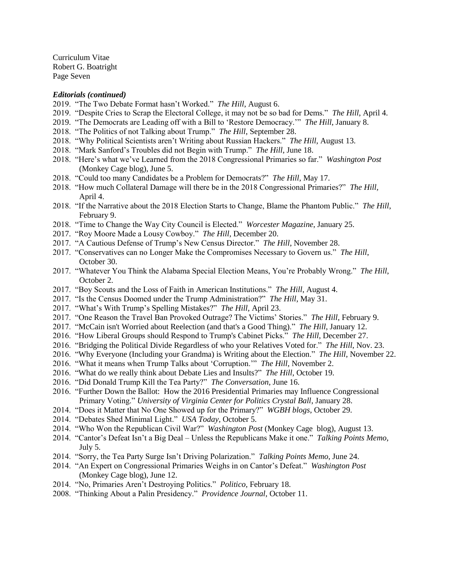Curriculum Vitae Robert G. Boatright Page Seven

#### *Editorials (continued)*

- 2019. "The Two Debate Format hasn't Worked." *The Hill*, August 6.
- 2019. "Despite Cries to Scrap the Electoral College, it may not be so bad for Dems." *The Hill*, April 4.
- 2019. "The Democrats are Leading off with a Bill to 'Restore Democracy.'" *The Hill*, January 8.
- 2018. "The Politics of not Talking about Trump." *The Hill*, September 28.
- 2018. "Why Political Scientists aren't Writing about Russian Hackers." *The Hill*, August 13.
- 2018. "Mark Sanford's Troubles did not Begin with Trump." *The Hill*, June 18.
- 2018. "Here's what we've Learned from the 2018 Congressional Primaries so far." *Washington Post*  (Monkey Cage blog), June 5.
- 2018. "Could too many Candidates be a Problem for Democrats?" *The Hill*, May 17.
- 2018. "How much Collateral Damage will there be in the 2018 Congressional Primaries?" *The Hill,*  April 4.
- 2018. "If the Narrative about the 2018 Election Starts to Change, Blame the Phantom Public." *The Hill*, February 9.
- 2018. "Time to Change the Way City Council is Elected." *Worcester Magazine*, January 25.
- 2017. "Roy Moore Made a Lousy Cowboy." *The Hill*, December 20.
- 2017. "A Cautious Defense of Trump's New Census Director." *The Hill*, November 28.
- 2017. "Conservatives can no Longer Make the Compromises Necessary to Govern us." *The Hill*, October 30.
- 2017. "Whatever You Think the Alabama Special Election Means, You're Probably Wrong." *The Hill*, October 2.
- 2017. "Boy Scouts and the Loss of Faith in American Institutions." *The Hill*, August 4.
- 2017. "Is the Census Doomed under the Trump Administration?" *The Hill*, May 31.
- 2017. "What's With Trump's Spelling Mistakes?" *The Hill*, April 23.
- 2017. "One Reason the Travel Ban Provoked Outrage? The Victims' Stories." *The Hill*, February 9.
- 2017. "McCain isn't Worried about Reelection (and that's a Good Thing)." *The Hill*, January 12.
- 2016. "How Liberal Groups should Respond to Trump's Cabinet Picks." *The Hill*, December 27.
- 2016. "Bridging the Political Divide Regardless of who your Relatives Voted for." *The Hill*, Nov. 23.
- 2016. "Why Everyone (Including your Grandma) is Writing about the Election." *The Hill*, November 22.
- 2016. "What it means when Trump Talks about 'Corruption.'" *The Hill*, November 2.
- 2016. "What do we really think about Debate Lies and Insults?" *The Hill*, October 19.
- 2016. "Did Donald Trump Kill the Tea Party?" *The Conversation*, June 16.
- 2016. "Further Down the Ballot: How the 2016 Presidential Primaries may Influence Congressional Primary Voting." *University of Virginia Center for Politics Crystal Ball*, January 28.
- 2014. "Does it Matter that No One Showed up for the Primary?" *WGBH blogs*, October 29.
- 2014. "Debates Shed Minimal Light." *USA Today*, October 5.
- 2014. "Who Won the Republican Civil War?" *Washington Post* (Monkey Cage blog), August 13.
- 2014. "Cantor's Defeat Isn't a Big Deal Unless the Republicans Make it one." *Talking Points Memo*, July 5.
- 2014. "Sorry, the Tea Party Surge Isn't Driving Polarization." *Talking Points Memo*, June 24.
- 2014. "An Expert on Congressional Primaries Weighs in on Cantor's Defeat." *Washington Post* (Monkey Cage blog), June 12.
- 2014. "No, Primaries Aren't Destroying Politics." *Politico*, February 18.
- 2008. "Thinking About a Palin Presidency." *Providence Journal*, October 11.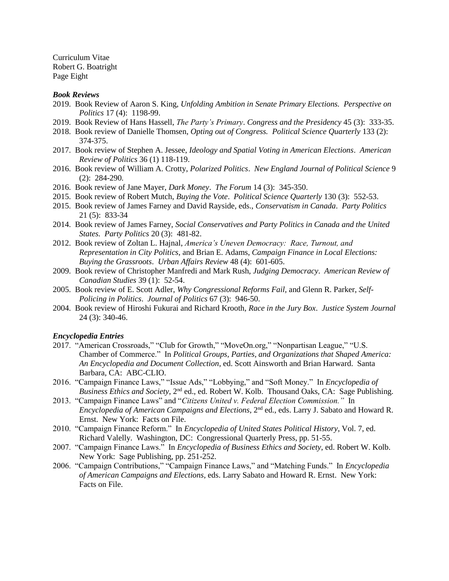Curriculum Vitae Robert G. Boatright Page Eight

#### *Book Reviews*

- 2019. Book Review of Aaron S. King, *Unfolding Ambition in Senate Primary Elections. Perspective on Politics* 17 (4): 1198-99.
- 2019. Book Review of Hans Hassell, *The Party's Primary*. *Congress and the Presidency* 45 (3): 333-35.
- 2018. Book review of Danielle Thomsen, *Opting out of Congress. Political Science Quarterly* 133 (2): 374-375.
- 2017. Book review of Stephen A. Jessee, *Ideology and Spatial Voting in American Elections*. *American Review of Politics* 36 (1) 118-119.
- 2016. Book review of William A. Crotty, *Polarized Politics*. *New England Journal of Political Science* 9 (2): 284-290*.*
- 2016. Book review of Jane Mayer, *Dark Money*. *The Forum* 14 (3): 345-350.
- 2015. Book review of Robert Mutch, *Buying the Vote*. *Political Science Quarterly* 130 (3): 552-53.
- 2015. Book review of James Farney and David Rayside, eds., *Conservatism in Canada*. *Party Politics*  21 (5): 833-34
- 2014. Book review of James Farney, *Social Conservatives and Party Politics in Canada and the United States. Party Politics* 20 (3): 481-82.
- 2012. Book review of Zoltan L. Hajnal, *America's Uneven Democracy: Race, Turnout, and Representation in City Politics*, and Brian E. Adams, *Campaign Finance in Local Elections: Buying the Grassroots*. *Urban Affairs Review* 48 (4): 601-605.
- 2009. Book review of Christopher Manfredi and Mark Rush, *Judging Democracy*. *American Review of Canadian Studies* 39 (1): 52-54.
- 2005. Book review of E. Scott Adler, *Why Congressional Reforms Fail,* and Glenn R. Parker, *Self-Policing in Politics*. *Journal of Politics* 67 (3): 946-50.
- 2004. Book review of Hiroshi Fukurai and Richard Krooth, *Race in the Jury Box*. *Justice System Journal* 24 (3): 340-46.

#### *Encyclopedia Entries*

- 2017. "American Crossroads," "Club for Growth," "MoveOn.org," "Nonpartisan League," "U.S. Chamber of Commerce." In *Political Groups, Parties, and Organizations that Shaped America: An Encyclopedia and Document Collection*, ed. Scott Ainsworth and Brian Harward. Santa Barbara, CA: ABC-CLIO.
- 2016. "Campaign Finance Laws," "Issue Ads," "Lobbying," and "Soft Money." In *Encyclopedia of Business Ethics and Society*, 2nd ed., ed. Robert W. Kolb. Thousand Oaks, CA: Sage Publishing.
- 2013. "Campaign Finance Laws" and "*Citizens United v. Federal Election Commission."* In Encyclopedia of American Campaigns and Elections, 2<sup>nd</sup> ed., eds. Larry J. Sabato and Howard R. Ernst. New York: Facts on File.
- 2010. "Campaign Finance Reform." In *Encyclopedia of United States Political History*, Vol. 7, ed. Richard Valelly. Washington, DC: Congressional Quarterly Press, pp. 51-55.
- 2007. "Campaign Finance Laws." In *Encyclopedia of Business Ethics and Society*, ed. Robert W. Kolb. New York: Sage Publishing, pp. 251-252.
- 2006. "Campaign Contributions," "Campaign Finance Laws," and "Matching Funds." In *Encyclopedia of American Campaigns and Elections*, eds. Larry Sabato and Howard R. Ernst. New York: Facts on File.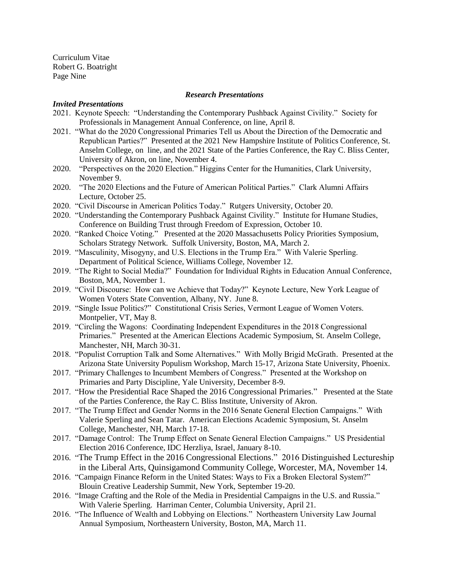Curriculum Vitae Robert G. Boatright Page Nine

# *Research Presentations*

#### *Invited Presentations*

- 2021. Keynote Speech: "Understanding the Contemporary Pushback Against Civility." Society for Professionals in Management Annual Conference, on line, April 8.
- 2021. "What do the 2020 Congressional Primaries Tell us About the Direction of the Democratic and Republican Parties?" Presented at the 2021 New Hampshire Institute of Politics Conference, St. Anselm College, on line, and the 2021 State of the Parties Conference, the Ray C. Bliss Center, University of Akron, on line, November 4.
- 2020. "Perspectives on the 2020 Election." Higgins Center for the Humanities, Clark University, November 9.
- 2020. "The 2020 Elections and the Future of American Political Parties." Clark Alumni Affairs Lecture, October 25.
- 2020. "Civil Discourse in American Politics Today." Rutgers University, October 20.
- 2020. "Understanding the Contemporary Pushback Against Civility." Institute for Humane Studies, Conference on Building Trust through Freedom of Expression, October 10.
- 2020. "Ranked Choice Voting." Presented at the 2020 Massachusetts Policy Priorities Symposium, Scholars Strategy Network. Suffolk University, Boston, MA, March 2.
- 2019. "Masculinity, Misogyny, and U.S. Elections in the Trump Era." With Valerie Sperling. Department of Political Science, Williams College, November 12.
- 2019. "The Right to Social Media?" Foundation for Individual Rights in Education Annual Conference, Boston, MA, November 1.
- 2019. "Civil Discourse: How can we Achieve that Today?" Keynote Lecture, New York League of Women Voters State Convention, Albany, NY. June 8.
- 2019. "Single Issue Politics?" Constitutional Crisis Series, Vermont League of Women Voters. Montpelier, VT, May 8.
- 2019. "Circling the Wagons: Coordinating Independent Expenditures in the 2018 Congressional Primaries." Presented at the American Elections Academic Symposium, St. Anselm College, Manchester, NH, March 30-31.
- 2018. "Populist Corruption Talk and Some Alternatives." With Molly Brigid McGrath. Presented at the Arizona State University Populism Workshop, March 15-17, Arizona State University, Phoenix.
- 2017. "Primary Challenges to Incumbent Members of Congress." Presented at the Workshop on Primaries and Party Discipline, Yale University, December 8-9.
- 2017. "How the Presidential Race Shaped the 2016 Congressional Primaries." Presented at the State of the Parties Conference, the Ray C. Bliss Institute, University of Akron.
- 2017. "The Trump Effect and Gender Norms in the 2016 Senate General Election Campaigns." With Valerie Sperling and Sean Tatar. American Elections Academic Symposium, St. Anselm College, Manchester, NH, March 17-18.
- 2017. "Damage Control: The Trump Effect on Senate General Election Campaigns." US Presidential Election 2016 Conference, IDC Herzliya, Israel, January 8-10.
- 2016. "The Trump Effect in the 2016 Congressional Elections." 2016 Distinguished Lectureship in the Liberal Arts, Quinsigamond Community College, Worcester, MA, November 14.
- 2016. "Campaign Finance Reform in the United States: Ways to Fix a Broken Electoral System?" Blouin Creative Leadership Summit, New York, September 19-20.
- 2016. "Image Crafting and the Role of the Media in Presidential Campaigns in the U.S. and Russia." With Valerie Sperling. Harriman Center, Columbia University, April 21.
- 2016. "The Influence of Wealth and Lobbying on Elections." Northeastern University Law Journal Annual Symposium, Northeastern University, Boston, MA, March 11.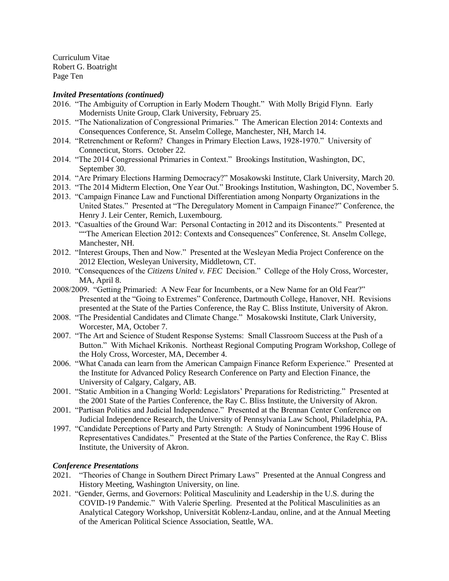Curriculum Vitae Robert G. Boatright Page Ten

# *Invited Presentations (continued)*

- 2016. "The Ambiguity of Corruption in Early Modern Thought." With Molly Brigid Flynn. Early Modernists Unite Group, Clark University, February 25.
- 2015. "The Nationalization of Congressional Primaries." The American Election 2014: Contexts and Consequences Conference, St. Anselm College, Manchester, NH, March 14.
- 2014. "Retrenchment or Reform? Changes in Primary Election Laws, 1928-1970." University of Connecticut, Storrs. October 22.
- 2014. "The 2014 Congressional Primaries in Context." Brookings Institution, Washington, DC, September 30.
- 2014. "Are Primary Elections Harming Democracy?" Mosakowski Institute, Clark University, March 20.
- 2013. "The 2014 Midterm Election, One Year Out." Brookings Institution, Washington, DC, November 5.
- 2013. "Campaign Finance Law and Functional Differentiation among Nonparty Organizations in the United States." Presented at "The Deregulatory Moment in Campaign Finance?" Conference, the Henry J. Leir Center, Remich, Luxembourg.
- 2013. "Casualties of the Ground War: Personal Contacting in 2012 and its Discontents." Presented at ""The American Election 2012: Contexts and Consequences" Conference, St. Anselm College, Manchester, NH.
- 2012. "Interest Groups, Then and Now." Presented at the Wesleyan Media Project Conference on the 2012 Election, Wesleyan University, Middletown, CT.
- 2010. "Consequences of the *Citizens United v. FEC* Decision." College of the Holy Cross, Worcester, MA, April 8.
- 2008/2009. "Getting Primaried: A New Fear for Incumbents, or a New Name for an Old Fear?" Presented at the "Going to Extremes" Conference, Dartmouth College, Hanover, NH. Revisions presented at the State of the Parties Conference, the Ray C. Bliss Institute, University of Akron.
- 2008. "The Presidential Candidates and Climate Change." Mosakowski Institute, Clark University, Worcester, MA, October 7.
- 2007. "The Art and Science of Student Response Systems: Small Classroom Success at the Push of a Button." With Michael Krikonis. Northeast Regional Computing Program Workshop, College of the Holy Cross, Worcester, MA, December 4.
- 2006. "What Canada can learn from the American Campaign Finance Reform Experience." Presented at the Institute for Advanced Policy Research Conference on Party and Election Finance, the University of Calgary, Calgary, AB.
- 2001. "Static Ambition in a Changing World: Legislators' Preparations for Redistricting." Presented at the 2001 State of the Parties Conference, the Ray C. Bliss Institute, the University of Akron.
- 2001. "Partisan Politics and Judicial Independence." Presented at the Brennan Center Conference on Judicial Independence Research, the University of Pennsylvania Law School, Philadelphia, PA.
- 1997. "Candidate Perceptions of Party and Party Strength: A Study of Nonincumbent 1996 House of Representatives Candidates." Presented at the State of the Parties Conference, the Ray C. Bliss Institute, the University of Akron.

# *Conference Presentations*

- 2021. "Theories of Change in Southern Direct Primary Laws" Presented at the Annual Congress and History Meeting, Washington University, on line.
- 2021. "Gender, Germs, and Governors: Political Masculinity and Leadership in the U.S. during the COVID-19 Pandemic." With Valerie Sperling. Presented at the Political Masculinities as an Analytical Category Workshop, Universität Koblenz-Landau, online, and at the Annual Meeting of the American Political Science Association, Seattle, WA.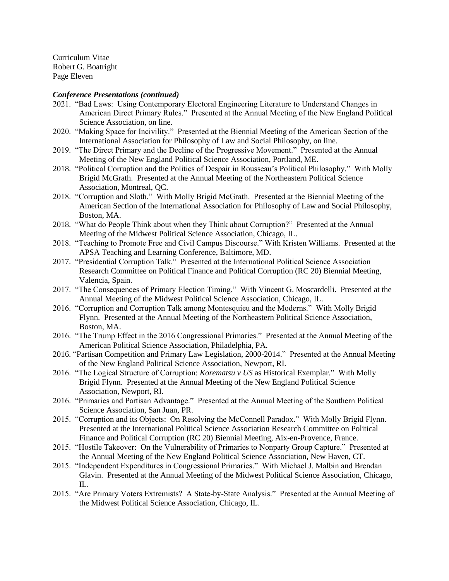Curriculum Vitae Robert G. Boatright Page Eleven

# *Conference Presentations (continued)*

- 2021. "Bad Laws: Using Contemporary Electoral Engineering Literature to Understand Changes in American Direct Primary Rules." Presented at the Annual Meeting of the New England Political Science Association, on line.
- 2020. "Making Space for Incivility." Presented at the Biennial Meeting of the American Section of the International Association for Philosophy of Law and Social Philosophy, on line.
- 2019. "The Direct Primary and the Decline of the Progressive Movement." Presented at the Annual Meeting of the New England Political Science Association, Portland, ME.
- 2018. "Political Corruption and the Politics of Despair in Rousseau's Political Philosophy." With Molly Brigid McGrath. Presented at the Annual Meeting of the Northeastern Political Science Association, Montreal, QC.
- 2018. "Corruption and Sloth." With Molly Brigid McGrath. Presented at the Biennial Meeting of the American Section of the International Association for Philosophy of Law and Social Philosophy, Boston, MA.
- 2018. "What do People Think about when they Think about Corruption?" Presented at the Annual Meeting of the Midwest Political Science Association, Chicago, IL.
- 2018. "Teaching to Promote Free and Civil Campus Discourse." With Kristen Williams. Presented at the APSA Teaching and Learning Conference, Baltimore, MD.
- 2017. "Presidential Corruption Talk." Presented at the International Political Science Association Research Committee on Political Finance and Political Corruption (RC 20) Biennial Meeting, Valencia, Spain.
- 2017. "The Consequences of Primary Election Timing." With Vincent G. Moscardelli. Presented at the Annual Meeting of the Midwest Political Science Association, Chicago, IL.
- 2016. "Corruption and Corruption Talk among Montesquieu and the Moderns." With Molly Brigid Flynn. Presented at the Annual Meeting of the Northeastern Political Science Association, Boston, MA.
- 2016. "The Trump Effect in the 2016 Congressional Primaries." Presented at the Annual Meeting of the American Political Science Association, Philadelphia, PA.
- 2016. "Partisan Competition and Primary Law Legislation, 2000-2014." Presented at the Annual Meeting of the New England Political Science Association, Newport, RI.
- 2016. "The Logical Structure of Corruption: *Korematsu v US* as Historical Exemplar." With Molly Brigid Flynn. Presented at the Annual Meeting of the New England Political Science Association, Newport, RI.
- 2016. "Primaries and Partisan Advantage." Presented at the Annual Meeting of the Southern Political Science Association, San Juan, PR.
- 2015. "Corruption and its Objects: On Resolving the McConnell Paradox." With Molly Brigid Flynn. Presented at the International Political Science Association Research Committee on Political Finance and Political Corruption (RC 20) Biennial Meeting, Aix-en-Provence, France.
- 2015. "Hostile Takeover: On the Vulnerability of Primaries to Nonparty Group Capture." Presented at the Annual Meeting of the New England Political Science Association, New Haven, CT.
- 2015. "Independent Expenditures in Congressional Primaries." With Michael J. Malbin and Brendan Glavin. Presented at the Annual Meeting of the Midwest Political Science Association, Chicago, IL.
- 2015. "Are Primary Voters Extremists? A State-by-State Analysis." Presented at the Annual Meeting of the Midwest Political Science Association, Chicago, IL.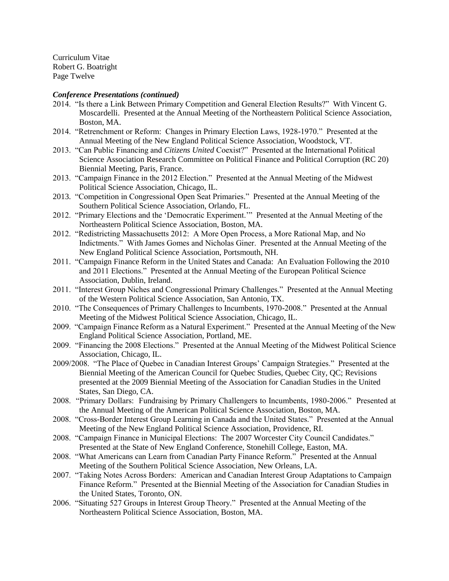Curriculum Vitae Robert G. Boatright Page Twelve

# *Conference Presentations (continued)*

- 2014. "Is there a Link Between Primary Competition and General Election Results?" With Vincent G. Moscardelli. Presented at the Annual Meeting of the Northeastern Political Science Association, Boston, MA.
- 2014. "Retrenchment or Reform: Changes in Primary Election Laws, 1928-1970." Presented at the Annual Meeting of the New England Political Science Association, Woodstock, VT.
- 2013. "Can Public Financing and *Citizens United* Coexist?" Presented at the International Political Science Association Research Committee on Political Finance and Political Corruption (RC 20) Biennial Meeting, Paris, France.
- 2013. "Campaign Finance in the 2012 Election." Presented at the Annual Meeting of the Midwest Political Science Association, Chicago, IL.
- 2013. "Competition in Congressional Open Seat Primaries." Presented at the Annual Meeting of the Southern Political Science Association, Orlando, FL.
- 2012. "Primary Elections and the 'Democratic Experiment.'" Presented at the Annual Meeting of the Northeastern Political Science Association, Boston, MA.
- 2012. "Redistricting Massachusetts 2012: A More Open Process, a More Rational Map, and No Indictments." With James Gomes and Nicholas Giner. Presented at the Annual Meeting of the New England Political Science Association, Portsmouth, NH.
- 2011. "Campaign Finance Reform in the United States and Canada: An Evaluation Following the 2010 and 2011 Elections." Presented at the Annual Meeting of the European Political Science Association, Dublin, Ireland.
- 2011. "Interest Group Niches and Congressional Primary Challenges." Presented at the Annual Meeting of the Western Political Science Association, San Antonio, TX.
- 2010. "The Consequences of Primary Challenges to Incumbents, 1970-2008." Presented at the Annual Meeting of the Midwest Political Science Association, Chicago, IL.
- 2009. "Campaign Finance Reform as a Natural Experiment." Presented at the Annual Meeting of the New England Political Science Association, Portland, ME.
- 2009. "Financing the 2008 Elections." Presented at the Annual Meeting of the Midwest Political Science Association, Chicago, IL.
- 2009/2008. "The Place of Quebec in Canadian Interest Groups' Campaign Strategies." Presented at the Biennial Meeting of the American Council for Quebec Studies, Quebec City, QC; Revisions presented at the 2009 Biennial Meeting of the Association for Canadian Studies in the United States, San Diego, CA.
- 2008. "Primary Dollars: Fundraising by Primary Challengers to Incumbents, 1980-2006." Presented at the Annual Meeting of the American Political Science Association, Boston, MA.
- 2008. "Cross-Border Interest Group Learning in Canada and the United States." Presented at the Annual Meeting of the New England Political Science Association, Providence, RI.
- 2008. "Campaign Finance in Municipal Elections: The 2007 Worcester City Council Candidates." Presented at the State of New England Conference, Stonehill College, Easton, MA.
- 2008. "What Americans can Learn from Canadian Party Finance Reform." Presented at the Annual Meeting of the Southern Political Science Association, New Orleans, LA.
- 2007. "Taking Notes Across Borders: American and Canadian Interest Group Adaptations to Campaign Finance Reform." Presented at the Biennial Meeting of the Association for Canadian Studies in the United States, Toronto, ON.
- 2006. "Situating 527 Groups in Interest Group Theory." Presented at the Annual Meeting of the Northeastern Political Science Association, Boston, MA.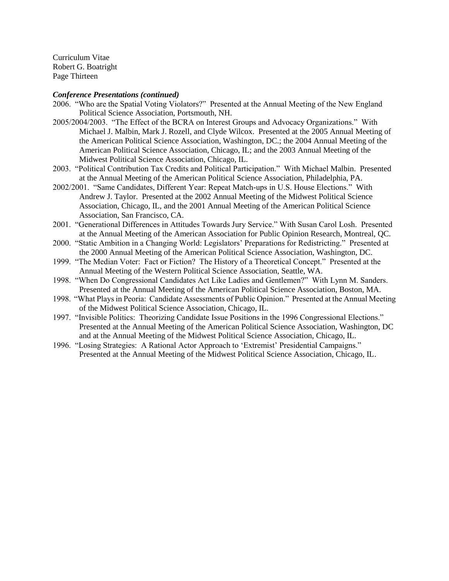Curriculum Vitae Robert G. Boatright Page Thirteen

#### *Conference Presentations (continued)*

- 2006. "Who are the Spatial Voting Violators?" Presented at the Annual Meeting of the New England Political Science Association, Portsmouth, NH.
- 2005/2004/2003. "The Effect of the BCRA on Interest Groups and Advocacy Organizations." With Michael J. Malbin, Mark J. Rozell, and Clyde Wilcox. Presented at the 2005 Annual Meeting of the American Political Science Association, Washington, DC.; the 2004 Annual Meeting of the American Political Science Association, Chicago, IL; and the 2003 Annual Meeting of the Midwest Political Science Association, Chicago, IL.
- 2003. "Political Contribution Tax Credits and Political Participation." With Michael Malbin. Presented at the Annual Meeting of the American Political Science Association, Philadelphia, PA.
- 2002/2001. "Same Candidates, Different Year: Repeat Match-ups in U.S. House Elections." With Andrew J. Taylor. Presented at the 2002 Annual Meeting of the Midwest Political Science Association, Chicago, IL, and the 2001 Annual Meeting of the American Political Science Association, San Francisco, CA.
- 2001. "Generational Differences in Attitudes Towards Jury Service." With Susan Carol Losh. Presented at the Annual Meeting of the American Association for Public Opinion Research, Montreal, QC.
- 2000. "Static Ambition in a Changing World: Legislators' Preparations for Redistricting." Presented at the 2000 Annual Meeting of the American Political Science Association, Washington, DC.
- 1999. "The Median Voter: Fact or Fiction? The History of a Theoretical Concept." Presented at the Annual Meeting of the Western Political Science Association, Seattle, WA.
- 1998. "When Do Congressional Candidates Act Like Ladies and Gentlemen?" With Lynn M. Sanders. Presented at the Annual Meeting of the American Political Science Association, Boston, MA.
- 1998. "What Plays in Peoria: Candidate Assessments of Public Opinion." Presented at the Annual Meeting of the Midwest Political Science Association, Chicago, IL.
- 1997. "Invisible Politics: Theorizing Candidate Issue Positions in the 1996 Congressional Elections." Presented at the Annual Meeting of the American Political Science Association, Washington, DC and at the Annual Meeting of the Midwest Political Science Association, Chicago, IL.
- 1996. "Losing Strategies: A Rational Actor Approach to 'Extremist' Presidential Campaigns." Presented at the Annual Meeting of the Midwest Political Science Association, Chicago, IL.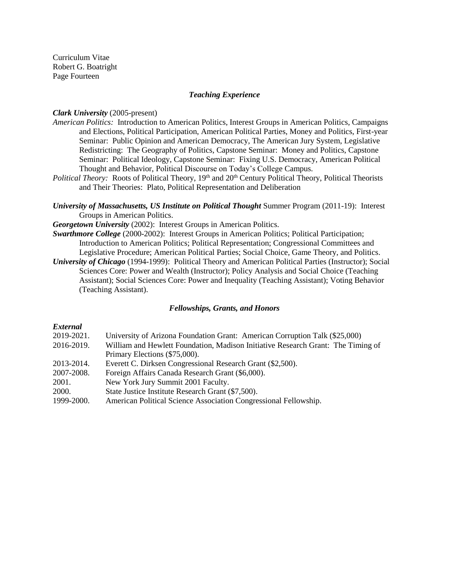Curriculum Vitae Robert G. Boatright Page Fourteen

# *Teaching Experience*

# *Clark University* (2005-present)

- *American Politics:* Introduction to American Politics, Interest Groups in American Politics, Campaigns and Elections, Political Participation, American Political Parties, Money and Politics, First-year Seminar: Public Opinion and American Democracy, The American Jury System, Legislative Redistricting: The Geography of Politics, Capstone Seminar: Money and Politics, Capstone Seminar: Political Ideology, Capstone Seminar: Fixing U.S. Democracy, American Political Thought and Behavior, Political Discourse on Today's College Campus.
- *Political Theory:* Roots of Political Theory, 19<sup>th</sup> and 20<sup>th</sup> Century Political Theory, Political Theorists and Their Theories: Plato, Political Representation and Deliberation
- *University of Massachusetts, US Institute on Political Thought* Summer Program (2011-19): Interest Groups in American Politics.
- *Georgetown University* (2002): Interest Groups in American Politics.
- *Swarthmore College* (2000-2002): Interest Groups in American Politics; Political Participation; Introduction to American Politics; Political Representation; Congressional Committees and Legislative Procedure; American Political Parties; Social Choice, Game Theory, and Politics.
- *University of Chicago* (1994-1999): Political Theory and American Political Parties (Instructor); Social Sciences Core: Power and Wealth (Instructor); Policy Analysis and Social Choice (Teaching Assistant); Social Sciences Core: Power and Inequality (Teaching Assistant); Voting Behavior (Teaching Assistant).

# *Fellowships, Grants, and Honors*

# *External*

| 2019-2021. | University of Arizona Foundation Grant: American Corruption Talk (\$25,000)      |
|------------|----------------------------------------------------------------------------------|
| 2016-2019. | William and Hewlett Foundation, Madison Initiative Research Grant: The Timing of |
|            | Primary Elections (\$75,000).                                                    |
| 2013-2014. | Everett C. Dirksen Congressional Research Grant (\$2,500).                       |
| 2007-2008. | Foreign Affairs Canada Research Grant (\$6,000).                                 |
| 2001.      | New York Jury Summit 2001 Faculty.                                               |
| 2000.      | State Justice Institute Research Grant (\$7,500).                                |
| 1999-2000. | American Political Science Association Congressional Fellowship.                 |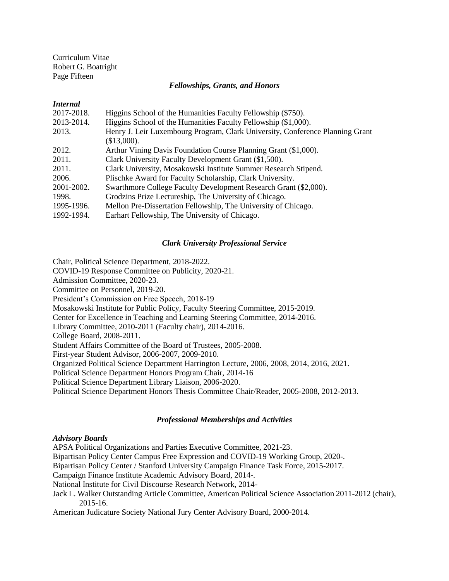Curriculum Vitae Robert G. Boatright Page Fifteen

## *Fellowships, Grants, and Honors*

## *Internal*

| 2017-2018. | Higgins School of the Humanities Faculty Fellowship (\$750).                  |
|------------|-------------------------------------------------------------------------------|
| 2013-2014. | Higgins School of the Humanities Faculty Fellowship (\$1,000).                |
| 2013.      | Henry J. Leir Luxembourg Program, Clark University, Conference Planning Grant |
|            | (\$13,000).                                                                   |
| 2012.      | Arthur Vining Davis Foundation Course Planning Grant (\$1,000).               |
| 2011.      | Clark University Faculty Development Grant (\$1,500).                         |
| 2011.      | Clark University, Mosakowski Institute Summer Research Stipend.               |
| 2006.      | Plischke Award for Faculty Scholarship, Clark University.                     |
| 2001-2002. | Swarthmore College Faculty Development Research Grant (\$2,000).              |
| 1998.      | Grodzins Prize Lectureship, The University of Chicago.                        |
| 1995-1996. | Mellon Pre-Dissertation Fellowship, The University of Chicago.                |
| 1992-1994. | Earhart Fellowship, The University of Chicago.                                |

# *Clark University Professional Service*

Chair, Political Science Department, 2018-2022. COVID-19 Response Committee on Publicity, 2020-21. Admission Committee, 2020-23. Committee on Personnel, 2019-20. President's Commission on Free Speech, 2018-19 Mosakowski Institute for Public Policy, Faculty Steering Committee, 2015-2019. Center for Excellence in Teaching and Learning Steering Committee, 2014-2016. Library Committee, 2010-2011 (Faculty chair), 2014-2016. College Board, 2008-2011. Student Affairs Committee of the Board of Trustees, 2005-2008. First-year Student Advisor, 2006-2007, 2009-2010. Organized Political Science Department Harrington Lecture, 2006, 2008, 2014, 2016, 2021. Political Science Department Honors Program Chair, 2014-16 Political Science Department Library Liaison, 2006-2020. Political Science Department Honors Thesis Committee Chair/Reader, 2005-2008, 2012-2013.

# *Professional Memberships and Activities*

# *Advisory Boards*

APSA Political Organizations and Parties Executive Committee, 2021-23. Bipartisan Policy Center Campus Free Expression and COVID-19 Working Group, 2020-. Bipartisan Policy Center / Stanford University Campaign Finance Task Force, 2015-2017. Campaign Finance Institute Academic Advisory Board, 2014-. National Institute for Civil Discourse Research Network, 2014- Jack L. Walker Outstanding Article Committee, American Political Science Association 2011-2012 (chair), 2015-16. American Judicature Society National Jury Center Advisory Board, 2000-2014.